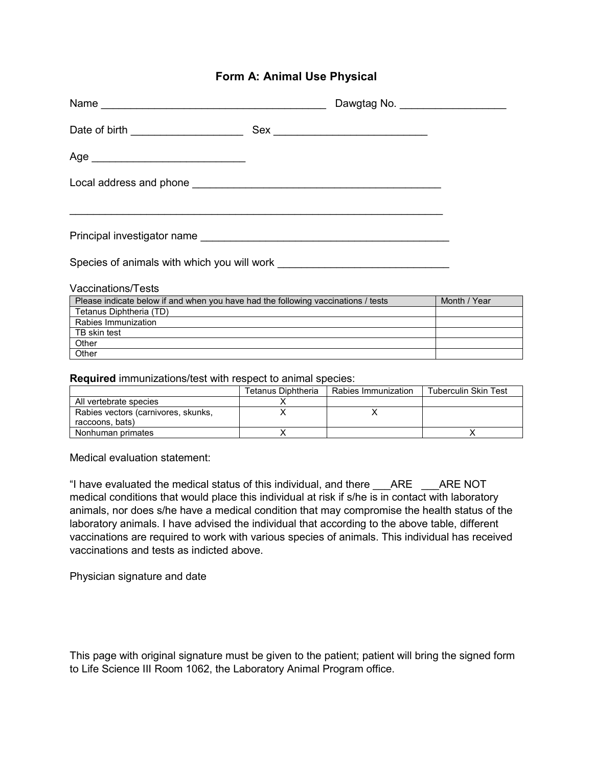### **Form A: Animal Use Physical**

|                                                                                                                       | Dawgtag No. ____________________ |
|-----------------------------------------------------------------------------------------------------------------------|----------------------------------|
| Date of birth _____________________                                                                                   |                                  |
|                                                                                                                       |                                  |
|                                                                                                                       |                                  |
| <u> 1989 - Johann Stoff, amerikan bestein de stad in de stad in de stad in de stad in de stad in de stad in de st</u> |                                  |
|                                                                                                                       |                                  |
|                                                                                                                       |                                  |
| Vaccinations/Tests                                                                                                    |                                  |
| Please indicate below if and when you have had the following vaccinations / tests                                     | Month / Year                     |
| Tetanus Diphtheria (TD)                                                                                               |                                  |
| Rabies Immunization                                                                                                   |                                  |

**Required** immunizations/test with respect to animal species:

|                                     | Tetanus Diphtheria | Rabies Immunization | Tuberculin Skin Test |
|-------------------------------------|--------------------|---------------------|----------------------|
| All vertebrate species              |                    |                     |                      |
| Rabies vectors (carnivores, skunks, |                    |                     |                      |
| raccoons, bats)                     |                    |                     |                      |
| Nonhuman primates                   |                    |                     |                      |

Medical evaluation statement:

TB skin test **Other Other** 

"I have evaluated the medical status of this individual, and there \_\_\_ARE \_\_\_ARE NOT medical conditions that would place this individual at risk if s/he is in contact with laboratory animals, nor does s/he have a medical condition that may compromise the health status of the laboratory animals. I have advised the individual that according to the above table, different vaccinations are required to work with various species of animals. This individual has received vaccinations and tests as indicted above.

Physician signature and date

This page with original signature must be given to the patient; patient will bring the signed form to Life Science III Room 1062, the Laboratory Animal Program office.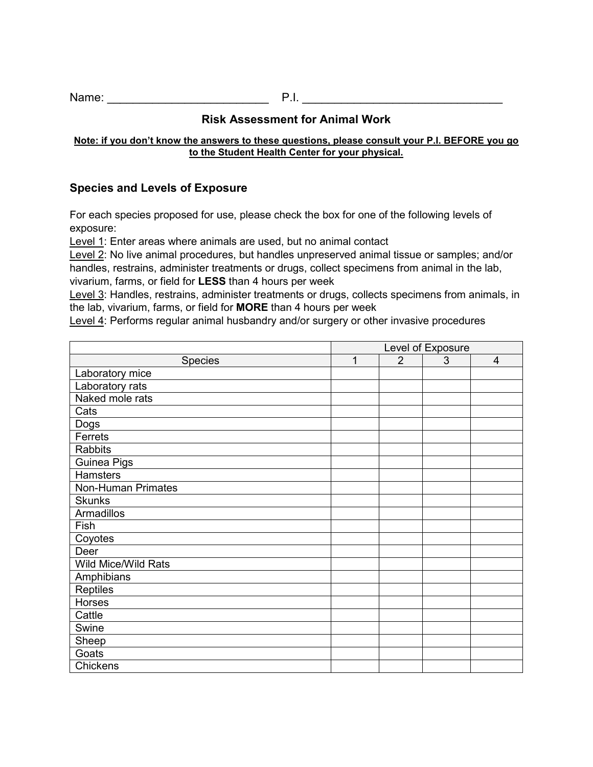Name: 2008. **Name:** 2008. **P.I.** 2008. **P.I.** 2008. **P.I.** 2008. **P.I.** 2008. **P.I.** 2008. **P.I.** 2008. **P.I.** 2008. **P.I.** 2008. **P.I.** 2008. **P.I.** 2008. **P.I.** 2008. **P.I.** 2008. **P.I.** 2008. **P.I.** 2008. **P.I.** 2008.

# **Risk Assessment for Animal Work**

#### **Note: if you don't know the answers to these questions, please consult your P.I. BEFORE you go to the Student Health Center for your physical.**

### **Species and Levels of Exposure**

For each species proposed for use, please check the box for one of the following levels of exposure:

Level 1: Enter areas where animals are used, but no animal contact

Level 2: No live animal procedures, but handles unpreserved animal tissue or samples; and/or handles, restrains, administer treatments or drugs, collect specimens from animal in the lab, vivarium, farms, or field for **LESS** than 4 hours per week

Level 3: Handles, restrains, administer treatments or drugs, collects specimens from animals, in the lab, vivarium, farms, or field for **MORE** than 4 hours per week

Level 4: Performs regular animal husbandry and/or surgery or other invasive procedures

|                     | Level of Exposure |                |   |   |
|---------------------|-------------------|----------------|---|---|
| <b>Species</b>      | $\mathbf{1}$      | $\overline{2}$ | 3 | 4 |
| Laboratory mice     |                   |                |   |   |
| Laboratory rats     |                   |                |   |   |
| Naked mole rats     |                   |                |   |   |
| Cats                |                   |                |   |   |
| Dogs                |                   |                |   |   |
| Ferrets             |                   |                |   |   |
| <b>Rabbits</b>      |                   |                |   |   |
| Guinea Pigs         |                   |                |   |   |
| <b>Hamsters</b>     |                   |                |   |   |
| Non-Human Primates  |                   |                |   |   |
| <b>Skunks</b>       |                   |                |   |   |
| <b>Armadillos</b>   |                   |                |   |   |
| Fish                |                   |                |   |   |
| Coyotes             |                   |                |   |   |
| Deer                |                   |                |   |   |
| Wild Mice/Wild Rats |                   |                |   |   |
| Amphibians          |                   |                |   |   |
| Reptiles            |                   |                |   |   |
| <b>Horses</b>       |                   |                |   |   |
| Cattle              |                   |                |   |   |
| Swine               |                   |                |   |   |
| Sheep               |                   |                |   |   |
| Goats               |                   |                |   |   |
| Chickens            |                   |                |   |   |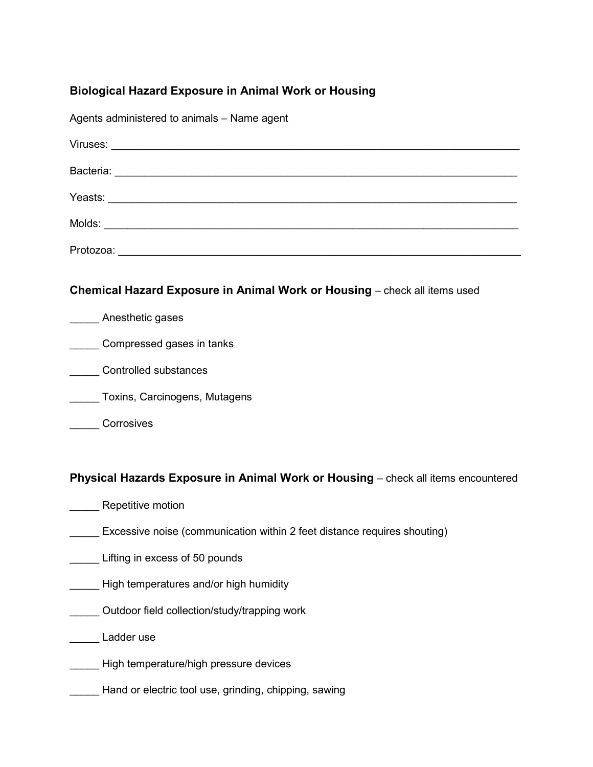# **Biological Hazard Exposure in Animal Work or Housing**

Agents administered to animals – Name agent

| Yeasts:<br><u> 1980 - Andrea Andrew Maria (b. 1980)</u> |  |  |
|---------------------------------------------------------|--|--|
| Molds:                                                  |  |  |
| Protozoa:                                               |  |  |

#### **Chemical Hazard Exposure in Animal Work or Housing** – check all items used

| Anesthetic gases              |
|-------------------------------|
| Compressed gases in tanks     |
| Controlled substances         |
| Toxins, Carcinogens, Mutagens |

### **Corrosives**

#### **Physical Hazards Exposure in Animal Work or Housing** – check all items encountered

- Repetitive motion
- **Excessive noise (communication within 2 feet distance requires shouting)**
- **Lifting in excess of 50 pounds**
- **\_\_\_\_\_** High temperatures and/or high humidity
- \_\_\_\_\_ Outdoor field collection/study/trapping work
- Ladder use
- \_\_\_\_\_ High temperature/high pressure devices
- Hand or electric tool use, grinding, chipping, sawing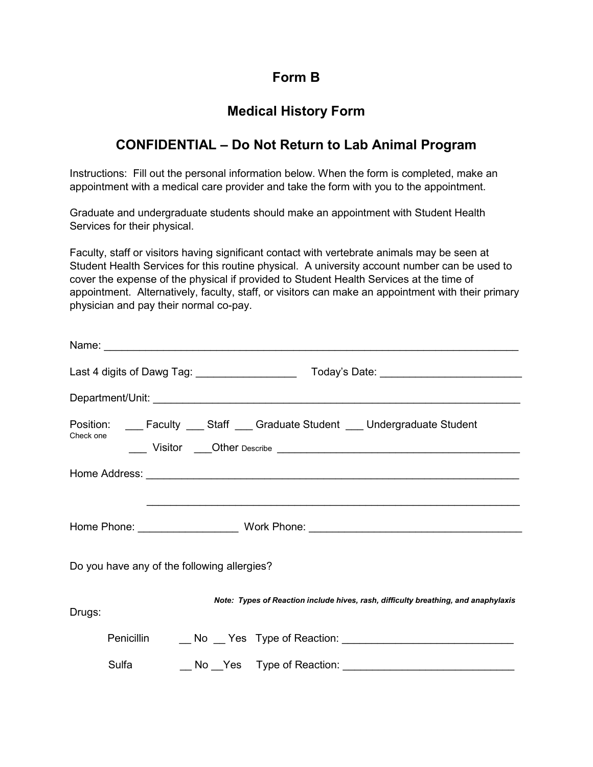# **Form B**

# **Medical History Form**

# **CONFIDENTIAL – Do Not Return to Lab Animal Program**

Instructions: Fill out the personal information below. When the form is completed, make an appointment with a medical care provider and take the form with you to the appointment.

Graduate and undergraduate students should make an appointment with Student Health Services for their physical.

Faculty, staff or visitors having significant contact with vertebrate animals may be seen at Student Health Services for this routine physical. A university account number can be used to cover the expense of the physical if provided to Student Health Services at the time of appointment. Alternatively, faculty, staff, or visitors can make an appointment with their primary physician and pay their normal co-pay.

| Last 4 digits of Dawg Tag: ____________________  Today's Date: __________________                                                                                                                                  |  |
|--------------------------------------------------------------------------------------------------------------------------------------------------------------------------------------------------------------------|--|
|                                                                                                                                                                                                                    |  |
| Position: ____ Faculty ____ Staff ____ Graduate Student ____ Undergraduate Student<br>Check one<br>Uisitor Cher Describe Contract Describe Contract District Order Describe Contract District Order District Order |  |
|                                                                                                                                                                                                                    |  |
|                                                                                                                                                                                                                    |  |
|                                                                                                                                                                                                                    |  |
| Do you have any of the following allergies?                                                                                                                                                                        |  |
| Note: Types of Reaction include hives, rash, difficulty breathing, and anaphylaxis<br>Drugs:                                                                                                                       |  |
| Penicillin<br>No Yes Type of Reaction: Network No. 2014                                                                                                                                                            |  |
| Sulfa                                                                                                                                                                                                              |  |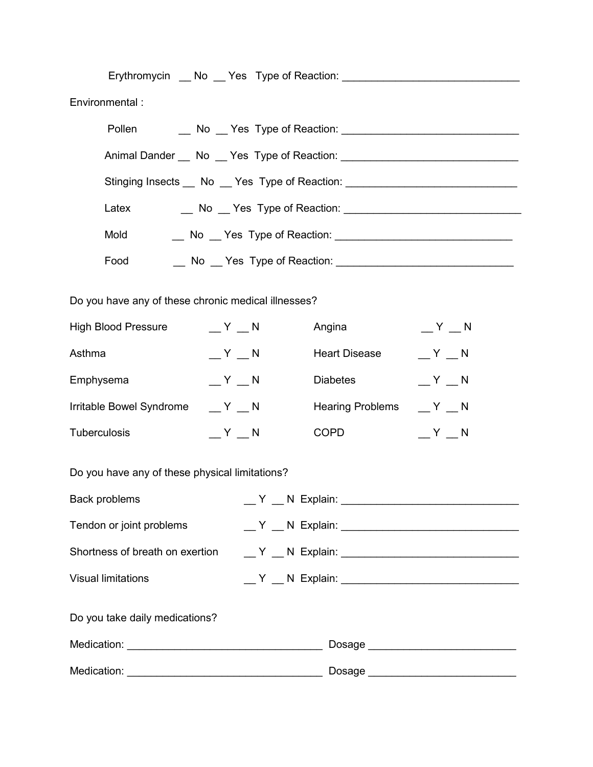| Environmental :                                                                  |  |                                                                 |         |  |
|----------------------------------------------------------------------------------|--|-----------------------------------------------------------------|---------|--|
| Pollen                                                                           |  |                                                                 |         |  |
| Animal Dander __ No __ Yes Type of Reaction: ___________________________________ |  |                                                                 |         |  |
| Stinging Insects __ No __ Yes Type of Reaction: ________________________________ |  |                                                                 |         |  |
| Latex                                                                            |  |                                                                 |         |  |
| Mold                                                                             |  |                                                                 |         |  |
| Food                                                                             |  | __ No __ Yes Type of Reaction: ________________________________ |         |  |
|                                                                                  |  |                                                                 |         |  |
| Do you have any of these chronic medical illnesses?                              |  |                                                                 |         |  |
| <b>High Blood Pressure</b><br>$Y = N$                                            |  | Angina                                                          | $Y = N$ |  |
| Asthma<br>$Y = N$                                                                |  | <b>Heart Disease</b>                                            | $Y = N$ |  |
| $Y_N$<br>Emphysema                                                               |  | <b>Diabetes</b>                                                 | $Y = N$ |  |
| Irritable Bowel Syndrome<br>$Y_N$                                                |  | <b>Hearing Problems</b>                                         | $Y = N$ |  |
| Tuberculosis<br>$Y = N$                                                          |  | <b>COPD</b>                                                     | $Y = N$ |  |
| Do you have any of these physical limitations?                                   |  |                                                                 |         |  |
| Back problems                                                                    |  |                                                                 |         |  |
| Tendon or joint problems                                                         |  |                                                                 |         |  |
| Shortness of breath on exertion                                                  |  |                                                                 |         |  |
| <b>Visual limitations</b>                                                        |  |                                                                 |         |  |
| Do you take daily medications?                                                   |  |                                                                 |         |  |
|                                                                                  |  | Dosage ______________________________                           |         |  |
|                                                                                  |  | Dosage _____________________________                            |         |  |